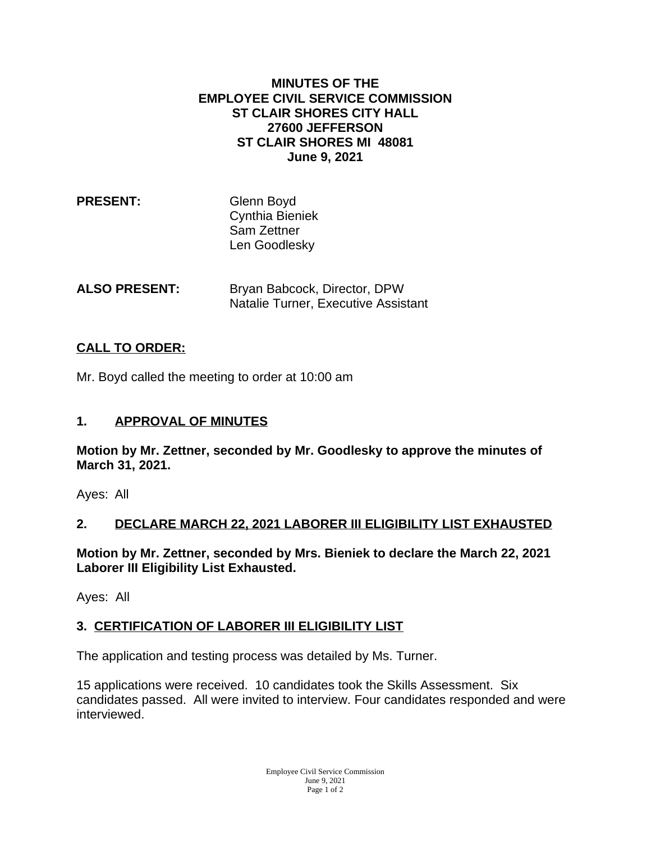#### **MINUTES OF THE EMPLOYEE CIVIL SERVICE COMMISSION ST CLAIR SHORES CITY HALL 27600 JEFFERSON ST CLAIR SHORES MI 48081 June 9, 2021**

| <b>PRESENT:</b> | Glenn Boyd      |
|-----------------|-----------------|
|                 | Cynthia Bieniek |
|                 | Sam Zettner     |
|                 | Len Goodlesky   |
|                 |                 |

**ALSO PRESENT:** Bryan Babcock, Director, DPW Natalie Turner, Executive Assistant

# **CALL TO ORDER:**

Mr. Boyd called the meeting to order at 10:00 am

### **1. APPROVAL OF MINUTES**

**Motion by Mr. Zettner, seconded by Mr. Goodlesky to approve the minutes of March 31, 2021.**

Ayes: All

## **2. DECLARE MARCH 22, 2021 LABORER III ELIGIBILITY LIST EXHAUSTED**

**Motion by Mr. Zettner, seconded by Mrs. Bieniek to declare the March 22, 2021 Laborer III Eligibility List Exhausted.**

Ayes: All

## **3. CERTIFICATION OF LABORER III ELIGIBILITY LIST**

The application and testing process was detailed by Ms. Turner.

15 applications were received. 10 candidates took the Skills Assessment. Six candidates passed. All were invited to interview. Four candidates responded and were interviewed.